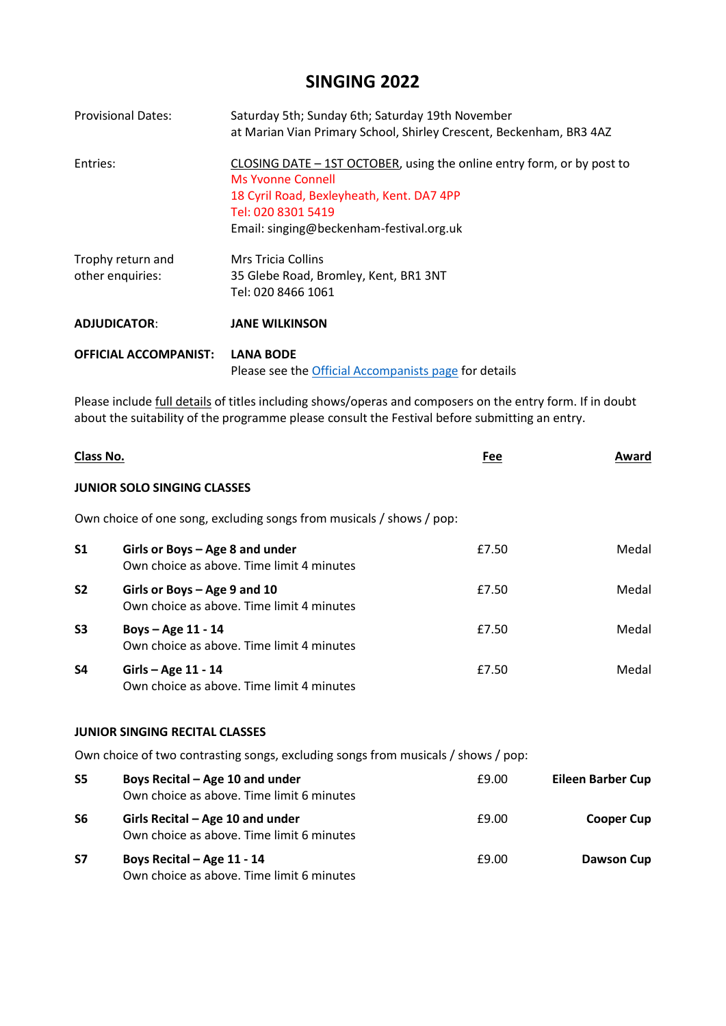## **SINGING 2022**

| <b>Provisional Dates:</b>             | Saturday 5th; Sunday 6th; Saturday 19th November<br>at Marian Vian Primary School, Shirley Crescent, Beckenham, BR3 4AZ                                                                                    |
|---------------------------------------|------------------------------------------------------------------------------------------------------------------------------------------------------------------------------------------------------------|
| Entries:                              | CLOSING DATE - 1ST OCTOBER, using the online entry form, or by post to<br>Ms Yvonne Connell<br>18 Cyril Road, Bexleyheath, Kent. DA7 4PP<br>Tel: 020 8301 5419<br>Email: singing@beckenham-festival.org.uk |
| Trophy return and<br>other enquiries: | Mrs Tricia Collins<br>35 Glebe Road, Bromley, Kent, BR1 3NT<br>Tel: 020 8466 1061                                                                                                                          |
| <b>ADJUDICATOR:</b>                   | <b>JANE WILKINSON</b>                                                                                                                                                                                      |
| <b>OFFICIAL ACCOMPANIST:</b>          | <b>LANA BODE</b><br>Please see the Official Accompanists page for details                                                                                                                                  |

Please include *full details* of titles including shows/operas and composers on the entry form. If in doubt about the suitability of the programme please consult the Festival before submitting an entry.

| Class No.                                                                         |                                                                                | Fee   | Award                    |
|-----------------------------------------------------------------------------------|--------------------------------------------------------------------------------|-------|--------------------------|
|                                                                                   | <b>JUNIOR SOLO SINGING CLASSES</b>                                             |       |                          |
|                                                                                   | Own choice of one song, excluding songs from musicals / shows / pop:           |       |                          |
| S <sub>1</sub>                                                                    | Girls or Boys $-$ Age 8 and under<br>Own choice as above. Time limit 4 minutes | £7.50 | Medal                    |
| S <sub>2</sub>                                                                    | Girls or Boys - Age 9 and 10<br>Own choice as above. Time limit 4 minutes      | £7.50 | Medal                    |
| S <sub>3</sub>                                                                    | Boys - Age 11 - 14<br>Own choice as above. Time limit 4 minutes                | £7.50 | Medal                    |
| S4                                                                                | Girls - Age 11 - 14<br>Own choice as above. Time limit 4 minutes               | £7.50 | Medal                    |
|                                                                                   | <b>JUNIOR SINGING RECITAL CLASSES</b>                                          |       |                          |
| Own choice of two contrasting songs, excluding songs from musicals / shows / pop: |                                                                                |       |                          |
| S5                                                                                | Boys Recital – Age 10 and under<br>Own choice as above. Time limit 6 minutes   | £9.00 | <b>Eileen Barber Cup</b> |
| S6                                                                                | Girls Recital – Age 10 and under<br>Own choice as above. Time limit 6 minutes  | £9.00 | <b>Cooper Cup</b>        |
| S7                                                                                | Boys Recital - Age 11 - 14<br>Own choice as above. Time limit 6 minutes        | £9.00 | <b>Dawson Cup</b>        |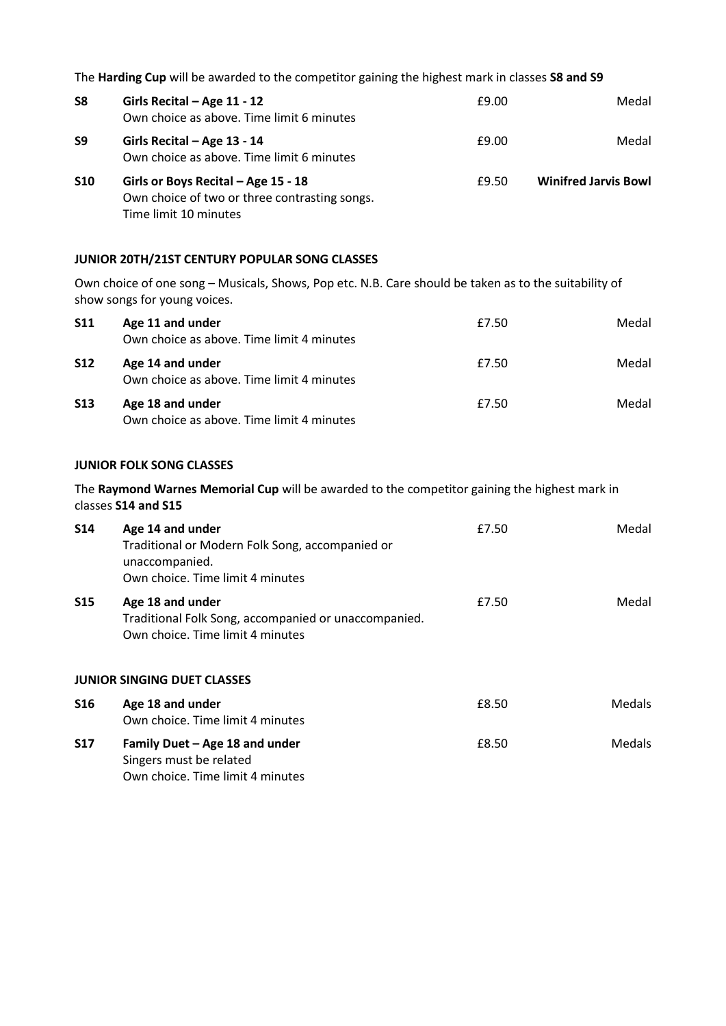The **Harding Cup** will be awarded to the competitor gaining the highest mark in classes **S8 and S9**

| S <sub>8</sub> | Girls Recital - Age 11 - 12<br>Own choice as above. Time limit 6 minutes                                      | £9.00 | Medal                       |
|----------------|---------------------------------------------------------------------------------------------------------------|-------|-----------------------------|
| S9             | Girls Recital - Age 13 - 14<br>Own choice as above. Time limit 6 minutes                                      | £9.00 | Medal                       |
| <b>S10</b>     | Girls or Boys Recital - Age 15 - 18<br>Own choice of two or three contrasting songs.<br>Time limit 10 minutes | £9.50 | <b>Winifred Jarvis Bowl</b> |

## **JUNIOR 20TH/21ST CENTURY POPULAR SONG CLASSES**

Own choice of one song – Musicals, Shows, Pop etc. N.B. Care should be taken as to the suitability of show songs for young voices.

| <b>S11</b> | Age 11 and under<br>Own choice as above. Time limit 4 minutes | £7.50 | Medal |
|------------|---------------------------------------------------------------|-------|-------|
| <b>S12</b> | Age 14 and under<br>Own choice as above. Time limit 4 minutes | £7.50 | Medal |
| <b>S13</b> | Age 18 and under<br>Own choice as above. Time limit 4 minutes | £7.50 | Medal |

## **JUNIOR FOLK SONG CLASSES**

The **Raymond Warnes Memorial Cup** will be awarded to the competitor gaining the highest mark in classes **S14 and S15**

| <b>S14</b> | Age 14 and under<br>Traditional or Modern Folk Song, accompanied or<br>unaccompanied.<br>Own choice. Time limit 4 minutes | £7.50 | Medal         |
|------------|---------------------------------------------------------------------------------------------------------------------------|-------|---------------|
| <b>S15</b> | Age 18 and under<br>Traditional Folk Song, accompanied or unaccompanied.<br>Own choice. Time limit 4 minutes              | £7.50 | Medal         |
|            | <b>JUNIOR SINGING DUET CLASSES</b>                                                                                        |       |               |
| <b>S16</b> | Age 18 and under<br>Own choice. Time limit 4 minutes                                                                      | £8.50 | <b>Medals</b> |
| <b>S17</b> | Family Duet - Age 18 and under<br>Singers must be related<br>Own choice. Time limit 4 minutes                             | £8.50 | Medals        |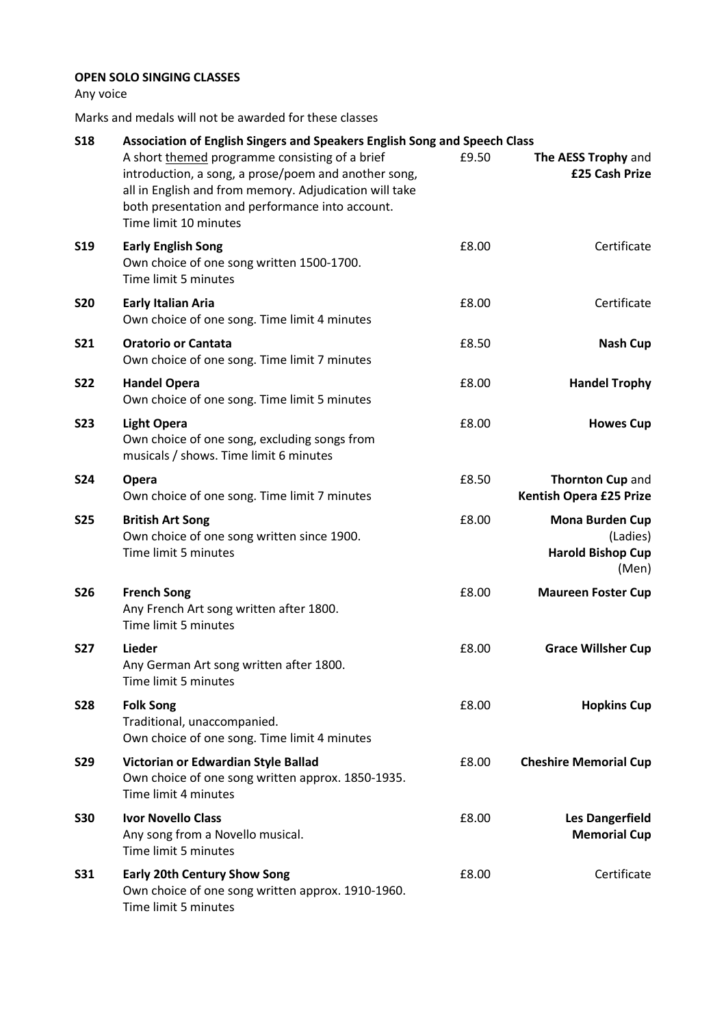## **OPEN SOLO SINGING CLASSES**

Any voice

Marks and medals will not be awarded for these classes

| <b>S18</b> | Association of English Singers and Speakers English Song and Speech Class                                                                                                                                                                    |       |                                                                  |  |
|------------|----------------------------------------------------------------------------------------------------------------------------------------------------------------------------------------------------------------------------------------------|-------|------------------------------------------------------------------|--|
|            | A short themed programme consisting of a brief<br>introduction, a song, a prose/poem and another song,<br>all in English and from memory. Adjudication will take<br>both presentation and performance into account.<br>Time limit 10 minutes | £9.50 | The AESS Trophy and<br>£25 Cash Prize                            |  |
| <b>S19</b> | <b>Early English Song</b><br>Own choice of one song written 1500-1700.<br>Time limit 5 minutes                                                                                                                                               | £8.00 | Certificate                                                      |  |
| <b>S20</b> | <b>Early Italian Aria</b><br>Own choice of one song. Time limit 4 minutes                                                                                                                                                                    | £8.00 | Certificate                                                      |  |
| <b>S21</b> | <b>Oratorio or Cantata</b><br>Own choice of one song. Time limit 7 minutes                                                                                                                                                                   | £8.50 | <b>Nash Cup</b>                                                  |  |
| <b>S22</b> | <b>Handel Opera</b><br>Own choice of one song. Time limit 5 minutes                                                                                                                                                                          | £8.00 | <b>Handel Trophy</b>                                             |  |
| <b>S23</b> | <b>Light Opera</b><br>Own choice of one song, excluding songs from<br>musicals / shows. Time limit 6 minutes                                                                                                                                 | £8.00 | <b>Howes Cup</b>                                                 |  |
| <b>S24</b> | Opera<br>Own choice of one song. Time limit 7 minutes                                                                                                                                                                                        | £8.50 | Thornton Cup and<br><b>Kentish Opera £25 Prize</b>               |  |
| <b>S25</b> | <b>British Art Song</b><br>Own choice of one song written since 1900.<br>Time limit 5 minutes                                                                                                                                                | £8.00 | Mona Burden Cup<br>(Ladies)<br><b>Harold Bishop Cup</b><br>(Men) |  |
| <b>S26</b> | <b>French Song</b><br>Any French Art song written after 1800.<br>Time limit 5 minutes                                                                                                                                                        | £8.00 | <b>Maureen Foster Cup</b>                                        |  |
| <b>S27</b> | Lieder<br>Any German Art song written after 1800.<br>Time limit 5 minutes                                                                                                                                                                    | £8.00 | <b>Grace Willsher Cup</b>                                        |  |
| <b>S28</b> | <b>Folk Song</b><br>Traditional, unaccompanied.<br>Own choice of one song. Time limit 4 minutes                                                                                                                                              | £8.00 | <b>Hopkins Cup</b>                                               |  |
| <b>S29</b> | Victorian or Edwardian Style Ballad<br>Own choice of one song written approx. 1850-1935.<br>Time limit 4 minutes                                                                                                                             | £8.00 | <b>Cheshire Memorial Cup</b>                                     |  |
| <b>S30</b> | <b>Ivor Novello Class</b><br>Any song from a Novello musical.<br>Time limit 5 minutes                                                                                                                                                        | £8.00 | <b>Les Dangerfield</b><br><b>Memorial Cup</b>                    |  |
| <b>S31</b> | <b>Early 20th Century Show Song</b><br>Own choice of one song written approx. 1910-1960.<br>Time limit 5 minutes                                                                                                                             | £8.00 | Certificate                                                      |  |